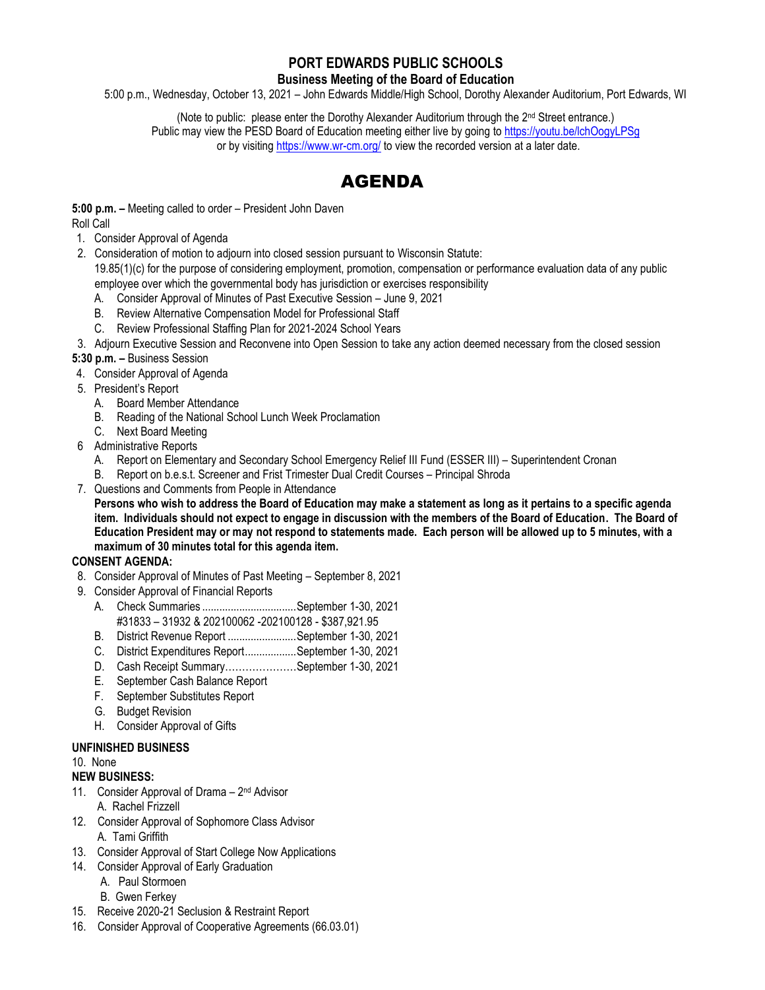# **PORT EDWARDS PUBLIC SCHOOLS**

**Business Meeting of the Board of Education**

5:00 p.m., Wednesday, October 13, 2021 – John Edwards Middle/High School, Dorothy Alexander Auditorium, Port Edwards, WI

(Note to public: please enter the Dorothy Alexander Auditorium through the 2nd Street entrance.) Public may view the PESD Board of Education meeting either live by going to<https://youtu.be/lchOogyLPSg> or by visitin[g https://www.wr-cm.org/](https://www.wr-cm.org/) to view the recorded version at a later date.

# AGENDA

**5:00 p.m. –** Meeting called to order – President John Daven Roll Call

- 1. Consider Approval of Agenda
- 2. Consideration of motion to adjourn into closed session pursuant to Wisconsin Statute:

19.85(1)(c) for the purpose of considering employment, promotion, compensation or performance evaluation data of any public employee over which the governmental body has jurisdiction or exercises responsibility

- A. Consider Approval of Minutes of Past Executive Session June 9, 2021
- B. Review Alternative Compensation Model for Professional Staff
- C. Review Professional Staffing Plan for 2021-2024 School Years
- 3. Adjourn Executive Session and Reconvene into Open Session to take any action deemed necessary from the closed session

**5:30 p.m. –** Business Session

- 4. Consider Approval of Agenda
- 5. President's Report
	- A. Board Member Attendance
	- B. Reading of the National School Lunch Week Proclamation
	- C. Next Board Meeting
- 6 Administrative Reports
	- A. Report on Elementary and Secondary School Emergency Relief III Fund (ESSER III) Superintendent Cronan
	- B. Report on b.e.s.t. Screener and Frist Trimester Dual Credit Courses Principal Shroda
- 7. Questions and Comments from People in Attendance

**Persons who wish to address the Board of Education may make a statement as long as it pertains to a specific agenda item. Individuals should not expect to engage in discussion with the members of the Board of Education. The Board of Education President may or may not respond to statements made. Each person will be allowed up to 5 minutes, with a maximum of 30 minutes total for this agenda item.**

## **CONSENT AGENDA:**

- 8. Consider Approval of Minutes of Past Meeting September 8, 2021
- 9. Consider Approval of Financial Reports
	- A. Check Summaries .................................September 1-30, 2021 #31833 – 31932 & 202100062 -202100128 - \$387,921.95
	- B. District Revenue Report ........................September 1-30, 2021
	- C. District Expenditures Report..................September 1-30, 2021
	- D. Cash Receipt Summary…………………September 1-30, 2021
	- E. September Cash Balance Report
	- F. September Substitutes Report
	- G. Budget Revision
	- H. Consider Approval of Gifts

#### **UNFINISHED BUSINESS**

#### 10. None

## **NEW BUSINESS:**

- 11. Consider Approval of Drama 2<sup>nd</sup> Advisor A. Rachel Frizzell
- 12. Consider Approval of Sophomore Class Advisor
- A. Tami Griffith
- 13. Consider Approval of Start College Now Applications
- 14. Consider Approval of Early Graduation
	- A. Paul Stormoen
	- B. Gwen Ferkey
- 15. Receive 2020-21 Seclusion & Restraint Report
- 16. Consider Approval of Cooperative Agreements (66.03.01)